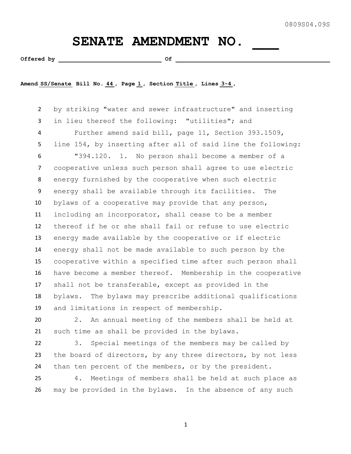## SENATE AMENDMENT NO.

Offered by  $\qquad \qquad$  Of  $\qquad \qquad$ 

**Amend SS/Senate Bill No. 44 , Page 1 , Section Title , Lines 3-4 ,** 

 by striking "water and sewer infrastructure" and inserting in lieu thereof the following: "utilities"; and Further amend said bill, page 11, Section 393.1509, line 154, by inserting after all of said line the following: "394.120. 1. No person shall become a member of a cooperative unless such person shall agree to use electric energy furnished by the cooperative when such electric energy shall be available through its facilities. The bylaws of a cooperative may provide that any person, including an incorporator, shall cease to be a member thereof if he or she shall fail or refuse to use electric energy made available by the cooperative or if electric energy shall not be made available to such person by the cooperative within a specified time after such person shall have become a member thereof. Membership in the cooperative shall not be transferable, except as provided in the bylaws. The bylaws may prescribe additional qualifications and limitations in respect of membership.

 2. An annual meeting of the members shall be held at such time as shall be provided in the bylaws.

 3. Special meetings of the members may be called by 23 the board of directors, by any three directors, by not less 24 than ten percent of the members, or by the president.

 4. Meetings of members shall be held at such place as may be provided in the bylaws. In the absence of any such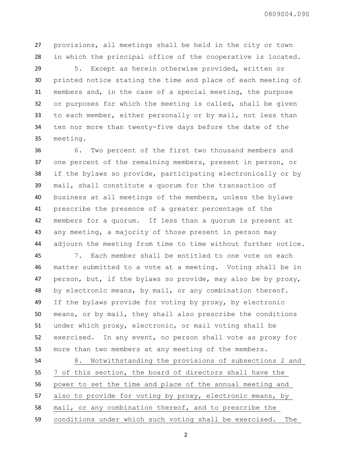0809S04.09S

 provisions, all meetings shall be held in the city or town in which the principal office of the cooperative is located.

 5. Except as herein otherwise provided, written or printed notice stating the time and place of each meeting of members and, in the case of a special meeting, the purpose or purposes for which the meeting is called, shall be given to each member, either personally or by mail, not less than ten nor more than twenty-five days before the date of the meeting.

 6. Two percent of the first two thousand members and one percent of the remaining members, present in person, or if the bylaws so provide, participating electronically or by mail, shall constitute a quorum for the transaction of business at all meetings of the members, unless the bylaws prescribe the presence of a greater percentage of the members for a quorum. If less than a quorum is present at any meeting, a majority of those present in person may adjourn the meeting from time to time without further notice.

 7. Each member shall be entitled to one vote on each matter submitted to a vote at a meeting. Voting shall be in person, but, if the bylaws so provide, may also be by proxy, by electronic means, by mail, or any combination thereof. If the bylaws provide for voting by proxy, by electronic means, or by mail, they shall also prescribe the conditions under which proxy, electronic, or mail voting shall be exercised. In any event, no person shall vote as proxy for more than two members at any meeting of the members.

 8. Notwithstanding the provisions of subsections 2 and 7 of this section, the board of directors shall have the power to set the time and place of the annual meeting and also to provide for voting by proxy, electronic means, by mail, or any combination thereof, and to prescribe the conditions under which such voting shall be exercised. The